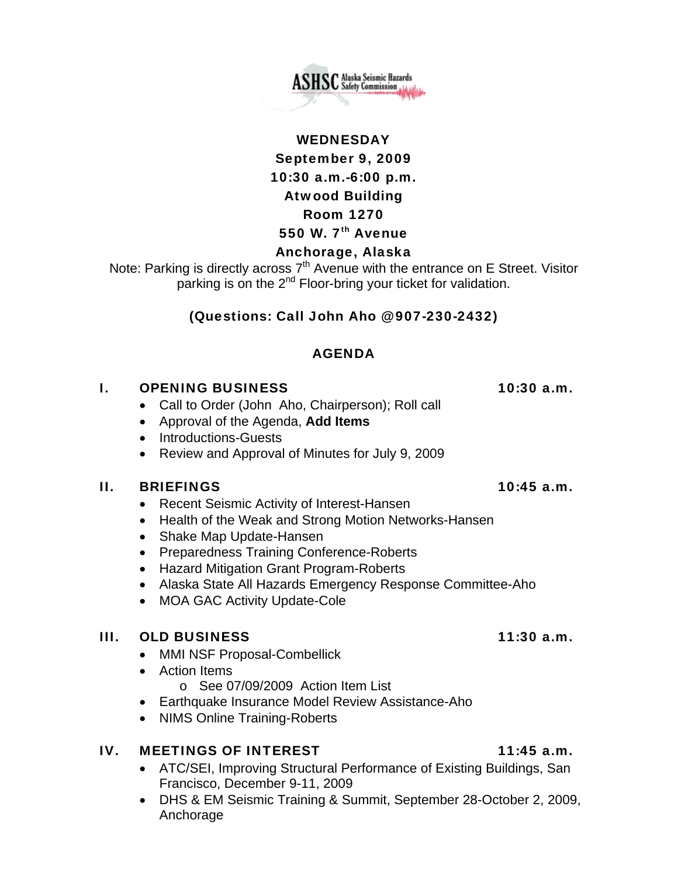

# WEDNESDAY September 9, 2009 10:30 a.m.-6:00 p.m. Atwood Building Room 1270 550 W.  $7<sup>th</sup>$  Avenue

# Anchorage, Alaska

Note: Parking is directly across  $7<sup>th</sup>$  Avenue with the entrance on E Street. Visitor parking is on the  $2<sup>nd</sup>$  Floor-bring your ticket for validation.

# (Questions: Call John Aho @ 907-230-2432)

### AGENDA

### I. OPENING BUSINESS 10:30 a.m.

- Call to Order (John Aho, Chairperson); Roll call
- Approval of the Agenda, **Add Items**
- Introductions-Guests
- Review and Approval of Minutes for July 9, 2009

### II. BRIEFINGS 10:45 a.m.

- Recent Seismic Activity of Interest-Hansen
- Health of the Weak and Strong Motion Networks-Hansen
- Shake Map Update-Hansen
- Preparedness Training Conference-Roberts
- Hazard Mitigation Grant Program-Roberts
- Alaska State All Hazards Emergency Response Committee-Aho
- MOA GAC Activity Update-Cole

# III. OLD BUSINESS 11:30 a.m.

- MMI NSF Proposal-Combellick
- Action Items
	- o See 07/09/2009 Action Item List
- Earthquake Insurance Model Review Assistance-Aho
- NIMS Online Training-Roberts

# IV. MEETINGS OF INTEREST 11:45 a.m.

- ATC/SEI, Improving Structural Performance of Existing Buildings, San Francisco, December 9-11, 2009
- DHS & EM Seismic Training & Summit, September 28-October 2, 2009, Anchorage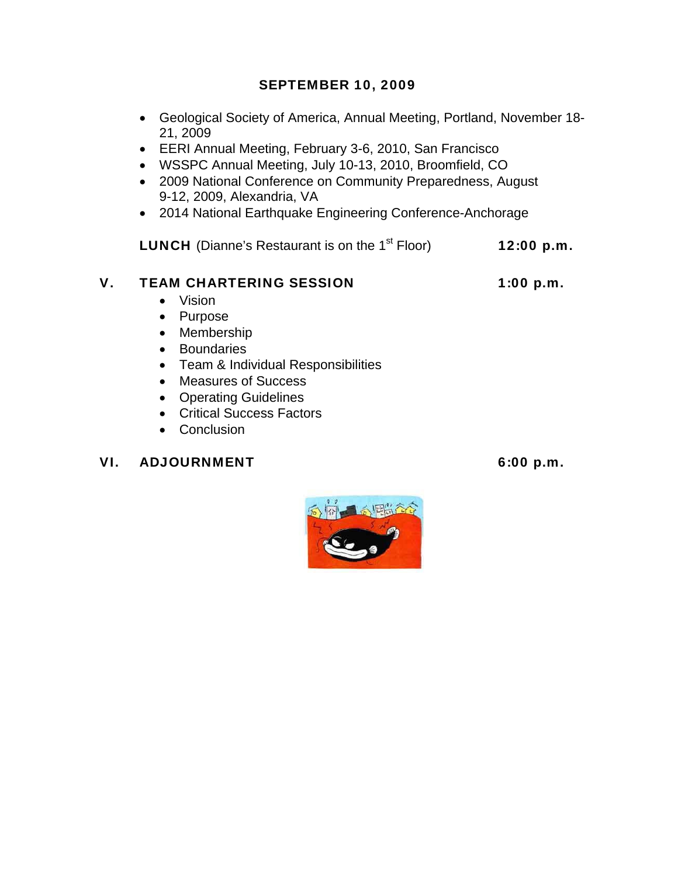# SEPTEMBER 10, 2009

- Geological Society of America, Annual Meeting, Portland, November 18- 21, 2009
- EERI Annual Meeting, February 3-6, 2010, San Francisco
- WSSPC Annual Meeting, July 10-13, 2010, Broomfield, CO
- 2009 National Conference on Community Preparedness, August 9-12, 2009, Alexandria, VA
- 2014 National Earthquake Engineering Conference-Anchorage

**LUNCH** (Dianne's Restaurant is on the  $1<sup>st</sup>$  Floor) 12:00 p.m.

# V. TEAM CHARTERING SESSION 1:00 p.m.

- Vision
- Purpose
- Membership
- Boundaries
- Team & Individual Responsibilities
- Measures of Success
- Operating Guidelines
- Critical Success Factors
- Conclusion

# VI. ADJOURNMENT 6:00 p.m.

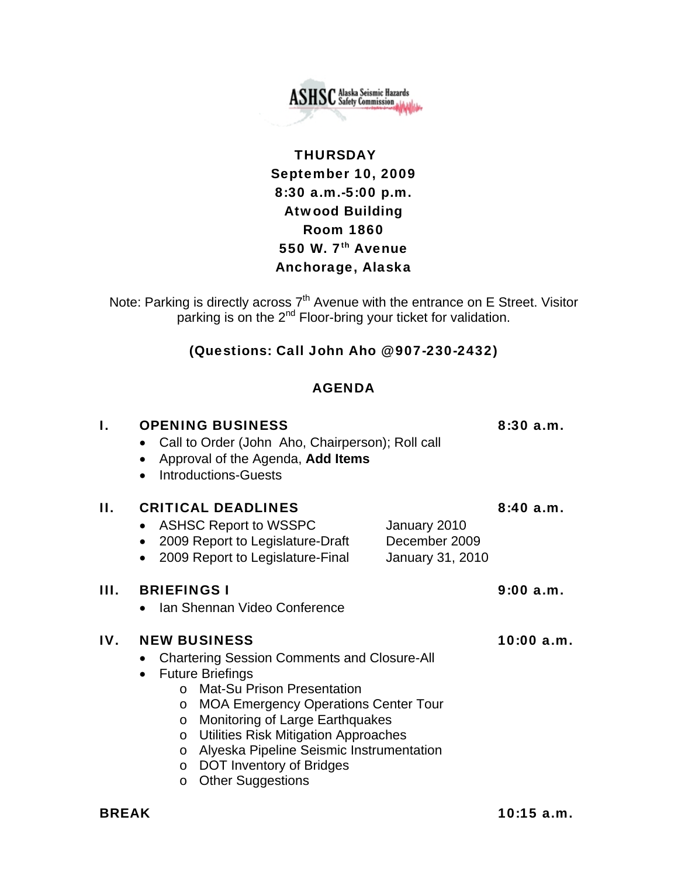

# **THURSDAY** September 10, 2009 8:30 a.m.-5:00 p.m. Atwood Building Room 1860 550 W. 7<sup>th</sup> Avenue Anchorage, Alaska

Note: Parking is directly across  $7<sup>th</sup>$  Avenue with the entrance on E Street. Visitor parking is on the 2<sup>nd</sup> Floor-bring your ticket for validation.

### (Questions: Call John Aho @ 907-230-2432)

### AGENDA

| I.  | <b>OPENING BUSINESS</b><br>Call to Order (John Aho, Chairperson); Roll call<br>Approval of the Agenda, Add Items<br>$\bullet$<br><b>Introductions-Guests</b><br>$\bullet$                                                                                                                                                                                                                                                                                    | 8:30a.m.   |
|-----|--------------------------------------------------------------------------------------------------------------------------------------------------------------------------------------------------------------------------------------------------------------------------------------------------------------------------------------------------------------------------------------------------------------------------------------------------------------|------------|
| Н.  | <b>CRITICAL DEADLINES</b><br><b>ASHSC Report to WSSPC</b><br>January 2010<br>2009 Report to Legislature-Draft<br>December 2009<br>$\bullet$<br>2009 Report to Legislature-Final<br>January 31, 2010                                                                                                                                                                                                                                                          | 8:40a.m.   |
| Ш.  | <b>BRIEFINGS I</b><br>Ian Shennan Video Conference                                                                                                                                                                                                                                                                                                                                                                                                           | 9:00 a.m.  |
| IV. | <b>NEW BUSINESS</b><br><b>Chartering Session Comments and Closure-All</b><br><b>Future Briefings</b><br><b>Mat-Su Prison Presentation</b><br>$\Omega$<br><b>MOA Emergency Operations Center Tour</b><br>$\circ$<br>Monitoring of Large Earthquakes<br>$\circ$<br>Utilities Risk Mitigation Approaches<br>$\circ$<br>Alyeska Pipeline Seismic Instrumentation<br>$\circ$<br><b>DOT Inventory of Bridges</b><br>$\circ$<br><b>Other Suggestions</b><br>$\circ$ | 10:00 a.m. |